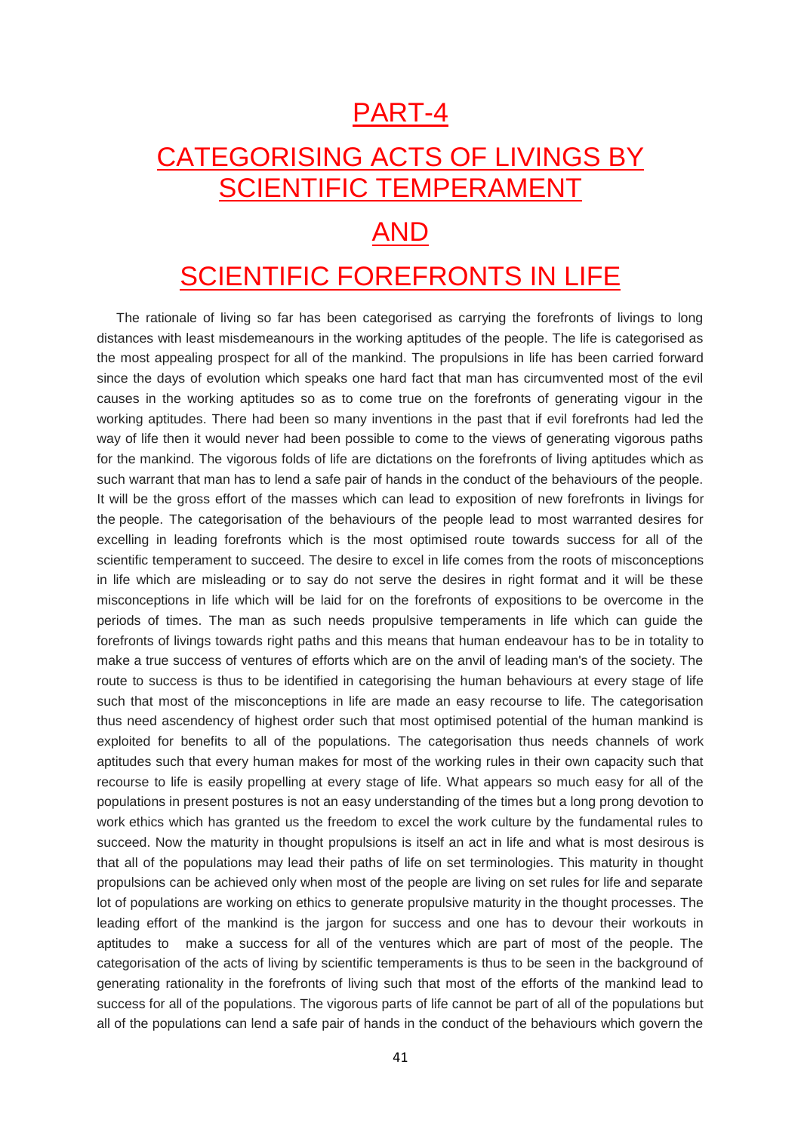## PART-4

## CATEGORISING ACTS OF LIVINGS BY SCIENTIFIC TEMPERAMENT

## AND

## SCIENTIFIC FOREFRONTS IN LIFE

 The rationale of living so far has been categorised as carrying the forefronts of livings to long distances with least misdemeanours in the working aptitudes of the people. The life is categorised as the most appealing prospect for all of the mankind. The propulsions in life has been carried forward since the days of evolution which speaks one hard fact that man has circumvented most of the evil causes in the working aptitudes so as to come true on the forefronts of generating vigour in the working aptitudes. There had been so many inventions in the past that if evil forefronts had led the way of life then it would never had been possible to come to the views of generating vigorous paths for the mankind. The vigorous folds of life are dictations on the forefronts of living aptitudes which as such warrant that man has to lend a safe pair of hands in the conduct of the behaviours of the people. It will be the gross effort of the masses which can lead to exposition of new forefronts in livings for the people. The categorisation of the behaviours of the people lead to most warranted desires for excelling in leading forefronts which is the most optimised route towards success for all of the scientific temperament to succeed. The desire to excel in life comes from the roots of misconceptions in life which are misleading or to say do not serve the desires in right format and it will be these misconceptions in life which will be laid for on the forefronts of expositions to be overcome in the periods of times. The man as such needs propulsive temperaments in life which can guide the forefronts of livings towards right paths and this means that human endeavour has to be in totality to make a true success of ventures of efforts which are on the anvil of leading man's of the society. The route to success is thus to be identified in categorising the human behaviours at every stage of life such that most of the misconceptions in life are made an easy recourse to life. The categorisation thus need ascendency of highest order such that most optimised potential of the human mankind is exploited for benefits to all of the populations. The categorisation thus needs channels of work aptitudes such that every human makes for most of the working rules in their own capacity such that recourse to life is easily propelling at every stage of life. What appears so much easy for all of the populations in present postures is not an easy understanding of the times but a long prong devotion to work ethics which has granted us the freedom to excel the work culture by the fundamental rules to succeed. Now the maturity in thought propulsions is itself an act in life and what is most desirous is that all of the populations may lead their paths of life on set terminologies. This maturity in thought propulsions can be achieved only when most of the people are living on set rules for life and separate lot of populations are working on ethics to generate propulsive maturity in the thought processes. The leading effort of the mankind is the jargon for success and one has to devour their workouts in aptitudes to make a success for all of the ventures which are part of most of the people. The categorisation of the acts of living by scientific temperaments is thus to be seen in the background of generating rationality in the forefronts of living such that most of the efforts of the mankind lead to success for all of the populations. The vigorous parts of life cannot be part of all of the populations but all of the populations can lend a safe pair of hands in the conduct of the behaviours which govern the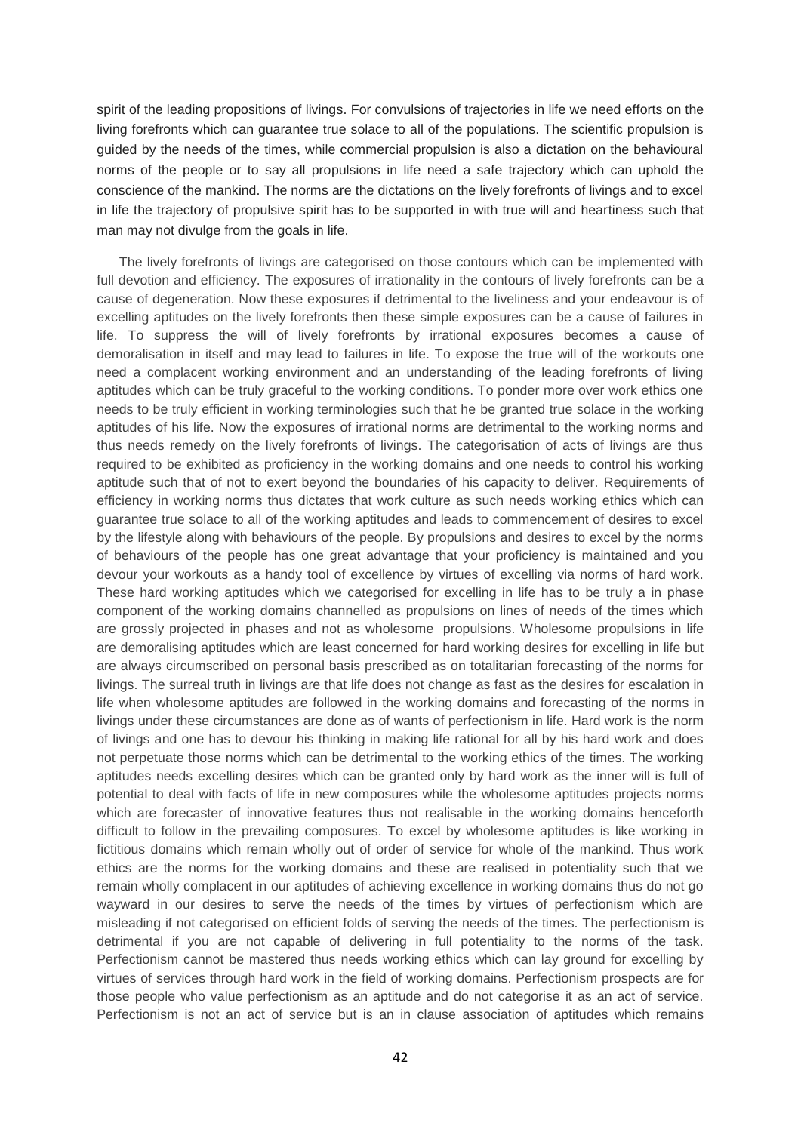spirit of the leading propositions of livings. For convulsions of trajectories in life we need efforts on the living forefronts which can guarantee true solace to all of the populations. The scientific propulsion is guided by the needs of the times, while commercial propulsion is also a dictation on the behavioural norms of the people or to say all propulsions in life need a safe trajectory which can uphold the conscience of the mankind. The norms are the dictations on the lively forefronts of livings and to excel in life the trajectory of propulsive spirit has to be supported in with true will and heartiness such that man may not divulge from the goals in life.

 The lively forefronts of livings are categorised on those contours which can be implemented with full devotion and efficiency. The exposures of irrationality in the contours of lively forefronts can be a cause of degeneration. Now these exposures if detrimental to the liveliness and your endeavour is of excelling aptitudes on the lively forefronts then these simple exposures can be a cause of failures in life. To suppress the will of lively forefronts by irrational exposures becomes a cause of demoralisation in itself and may lead to failures in life. To expose the true will of the workouts one need a complacent working environment and an understanding of the leading forefronts of living aptitudes which can be truly graceful to the working conditions. To ponder more over work ethics one needs to be truly efficient in working terminologies such that he be granted true solace in the working aptitudes of his life. Now the exposures of irrational norms are detrimental to the working norms and thus needs remedy on the lively forefronts of livings. The categorisation of acts of livings are thus required to be exhibited as proficiency in the working domains and one needs to control his working aptitude such that of not to exert beyond the boundaries of his capacity to deliver. Requirements of efficiency in working norms thus dictates that work culture as such needs working ethics which can guarantee true solace to all of the working aptitudes and leads to commencement of desires to excel by the lifestyle along with behaviours of the people. By propulsions and desires to excel by the norms of behaviours of the people has one great advantage that your proficiency is maintained and you devour your workouts as a handy tool of excellence by virtues of excelling via norms of hard work. These hard working aptitudes which we categorised for excelling in life has to be truly a in phase component of the working domains channelled as propulsions on lines of needs of the times which are grossly projected in phases and not as wholesome propulsions. Wholesome propulsions in life are demoralising aptitudes which are least concerned for hard working desires for excelling in life but are always circumscribed on personal basis prescribed as on totalitarian forecasting of the norms for livings. The surreal truth in livings are that life does not change as fast as the desires for escalation in life when wholesome aptitudes are followed in the working domains and forecasting of the norms in livings under these circumstances are done as of wants of perfectionism in life. Hard work is the norm of livings and one has to devour his thinking in making life rational for all by his hard work and does not perpetuate those norms which can be detrimental to the working ethics of the times. The working aptitudes needs excelling desires which can be granted only by hard work as the inner will is full of potential to deal with facts of life in new composures while the wholesome aptitudes projects norms which are forecaster of innovative features thus not realisable in the working domains henceforth difficult to follow in the prevailing composures. To excel by wholesome aptitudes is like working in fictitious domains which remain wholly out of order of service for whole of the mankind. Thus work ethics are the norms for the working domains and these are realised in potentiality such that we remain wholly complacent in our aptitudes of achieving excellence in working domains thus do not go wayward in our desires to serve the needs of the times by virtues of perfectionism which are misleading if not categorised on efficient folds of serving the needs of the times. The perfectionism is detrimental if you are not capable of delivering in full potentiality to the norms of the task. Perfectionism cannot be mastered thus needs working ethics which can lay ground for excelling by virtues of services through hard work in the field of working domains. Perfectionism prospects are for those people who value perfectionism as an aptitude and do not categorise it as an act of service. Perfectionism is not an act of service but is an in clause association of aptitudes which remains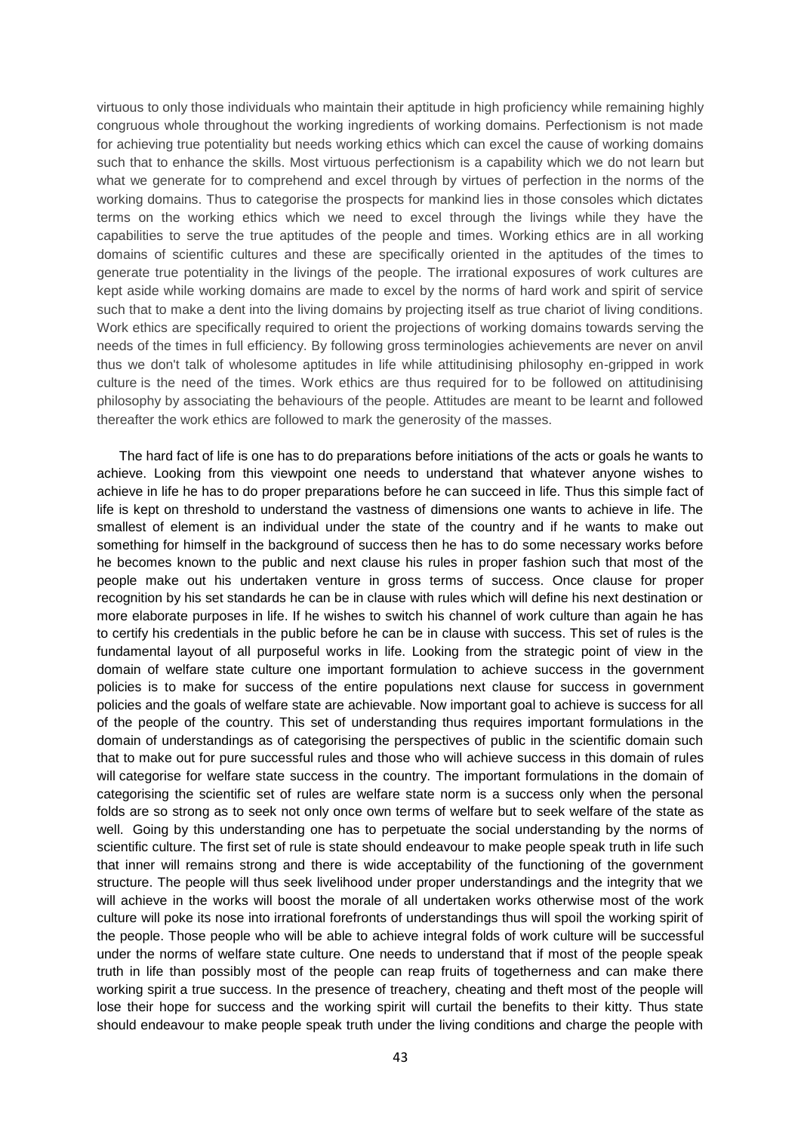virtuous to only those individuals who maintain their aptitude in high proficiency while remaining highly congruous whole throughout the working ingredients of working domains. Perfectionism is not made for achieving true potentiality but needs working ethics which can excel the cause of working domains such that to enhance the skills. Most virtuous perfectionism is a capability which we do not learn but what we generate for to comprehend and excel through by virtues of perfection in the norms of the working domains. Thus to categorise the prospects for mankind lies in those consoles which dictates terms on the working ethics which we need to excel through the livings while they have the capabilities to serve the true aptitudes of the people and times. Working ethics are in all working domains of scientific cultures and these are specifically oriented in the aptitudes of the times to generate true potentiality in the livings of the people. The irrational exposures of work cultures are kept aside while working domains are made to excel by the norms of hard work and spirit of service such that to make a dent into the living domains by projecting itself as true chariot of living conditions. Work ethics are specifically required to orient the projections of working domains towards serving the needs of the times in full efficiency. By following gross terminologies achievements are never on anvil thus we don't talk of wholesome aptitudes in life while attitudinising philosophy en-gripped in work culture is the need of the times. Work ethics are thus required for to be followed on attitudinising philosophy by associating the behaviours of the people. Attitudes are meant to be learnt and followed thereafter the work ethics are followed to mark the generosity of the masses.

 The hard fact of life is one has to do preparations before initiations of the acts or goals he wants to achieve. Looking from this viewpoint one needs to understand that whatever anyone wishes to achieve in life he has to do proper preparations before he can succeed in life. Thus this simple fact of life is kept on threshold to understand the vastness of dimensions one wants to achieve in life. The smallest of element is an individual under the state of the country and if he wants to make out something for himself in the background of success then he has to do some necessary works before he becomes known to the public and next clause his rules in proper fashion such that most of the people make out his undertaken venture in gross terms of success. Once clause for proper recognition by his set standards he can be in clause with rules which will define his next destination or more elaborate purposes in life. If he wishes to switch his channel of work culture than again he has to certify his credentials in the public before he can be in clause with success. This set of rules is the fundamental layout of all purposeful works in life. Looking from the strategic point of view in the domain of welfare state culture one important formulation to achieve success in the government policies is to make for success of the entire populations next clause for success in government policies and the goals of welfare state are achievable. Now important goal to achieve is success for all of the people of the country. This set of understanding thus requires important formulations in the domain of understandings as of categorising the perspectives of public in the scientific domain such that to make out for pure successful rules and those who will achieve success in this domain of rules will categorise for welfare state success in the country. The important formulations in the domain of categorising the scientific set of rules are welfare state norm is a success only when the personal folds are so strong as to seek not only once own terms of welfare but to seek welfare of the state as well. Going by this understanding one has to perpetuate the social understanding by the norms of scientific culture. The first set of rule is state should endeavour to make people speak truth in life such that inner will remains strong and there is wide acceptability of the functioning of the government structure. The people will thus seek livelihood under proper understandings and the integrity that we will achieve in the works will boost the morale of all undertaken works otherwise most of the work culture will poke its nose into irrational forefronts of understandings thus will spoil the working spirit of the people. Those people who will be able to achieve integral folds of work culture will be successful under the norms of welfare state culture. One needs to understand that if most of the people speak truth in life than possibly most of the people can reap fruits of togetherness and can make there working spirit a true success. In the presence of treachery, cheating and theft most of the people will lose their hope for success and the working spirit will curtail the benefits to their kitty. Thus state should endeavour to make people speak truth under the living conditions and charge the people with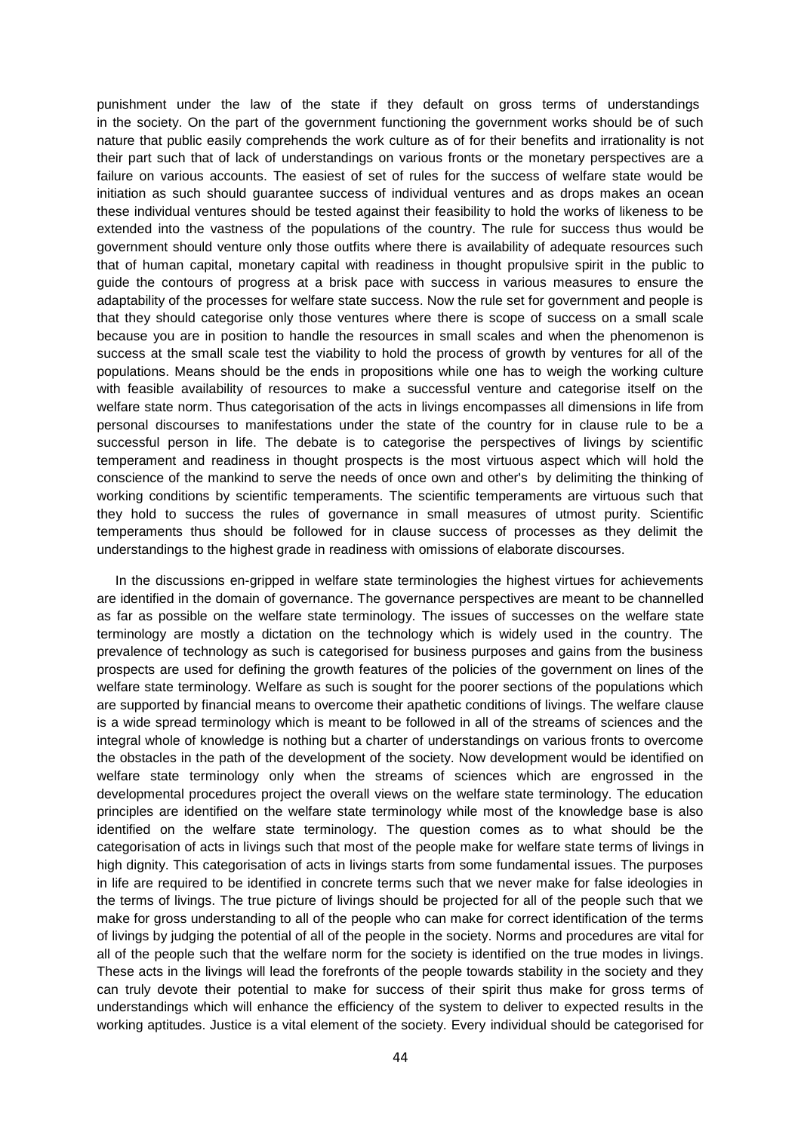punishment under the law of the state if they default on gross terms of understandings in the society. On the part of the government functioning the government works should be of such nature that public easily comprehends the work culture as of for their benefits and irrationality is not their part such that of lack of understandings on various fronts or the monetary perspectives are a failure on various accounts. The easiest of set of rules for the success of welfare state would be initiation as such should guarantee success of individual ventures and as drops makes an ocean these individual ventures should be tested against their feasibility to hold the works of likeness to be extended into the vastness of the populations of the country. The rule for success thus would be government should venture only those outfits where there is availability of adequate resources such that of human capital, monetary capital with readiness in thought propulsive spirit in the public to guide the contours of progress at a brisk pace with success in various measures to ensure the adaptability of the processes for welfare state success. Now the rule set for government and people is that they should categorise only those ventures where there is scope of success on a small scale because you are in position to handle the resources in small scales and when the phenomenon is success at the small scale test the viability to hold the process of growth by ventures for all of the populations. Means should be the ends in propositions while one has to weigh the working culture with feasible availability of resources to make a successful venture and categorise itself on the welfare state norm. Thus categorisation of the acts in livings encompasses all dimensions in life from personal discourses to manifestations under the state of the country for in clause rule to be a successful person in life. The debate is to categorise the perspectives of livings by scientific temperament and readiness in thought prospects is the most virtuous aspect which will hold the conscience of the mankind to serve the needs of once own and other's by delimiting the thinking of working conditions by scientific temperaments. The scientific temperaments are virtuous such that they hold to success the rules of governance in small measures of utmost purity. Scientific temperaments thus should be followed for in clause success of processes as they delimit the understandings to the highest grade in readiness with omissions of elaborate discourses.

 In the discussions en-gripped in welfare state terminologies the highest virtues for achievements are identified in the domain of governance. The governance perspectives are meant to be channelled as far as possible on the welfare state terminology. The issues of successes on the welfare state terminology are mostly a dictation on the technology which is widely used in the country. The prevalence of technology as such is categorised for business purposes and gains from the business prospects are used for defining the growth features of the policies of the government on lines of the welfare state terminology. Welfare as such is sought for the poorer sections of the populations which are supported by financial means to overcome their apathetic conditions of livings. The welfare clause is a wide spread terminology which is meant to be followed in all of the streams of sciences and the integral whole of knowledge is nothing but a charter of understandings on various fronts to overcome the obstacles in the path of the development of the society. Now development would be identified on welfare state terminology only when the streams of sciences which are engrossed in the developmental procedures project the overall views on the welfare state terminology. The education principles are identified on the welfare state terminology while most of the knowledge base is also identified on the welfare state terminology. The question comes as to what should be the categorisation of acts in livings such that most of the people make for welfare state terms of livings in high dignity. This categorisation of acts in livings starts from some fundamental issues. The purposes in life are required to be identified in concrete terms such that we never make for false ideologies in the terms of livings. The true picture of livings should be projected for all of the people such that we make for gross understanding to all of the people who can make for correct identification of the terms of livings by judging the potential of all of the people in the society. Norms and procedures are vital for all of the people such that the welfare norm for the society is identified on the true modes in livings. These acts in the livings will lead the forefronts of the people towards stability in the society and they can truly devote their potential to make for success of their spirit thus make for gross terms of understandings which will enhance the efficiency of the system to deliver to expected results in the working aptitudes. Justice is a vital element of the society. Every individual should be categorised for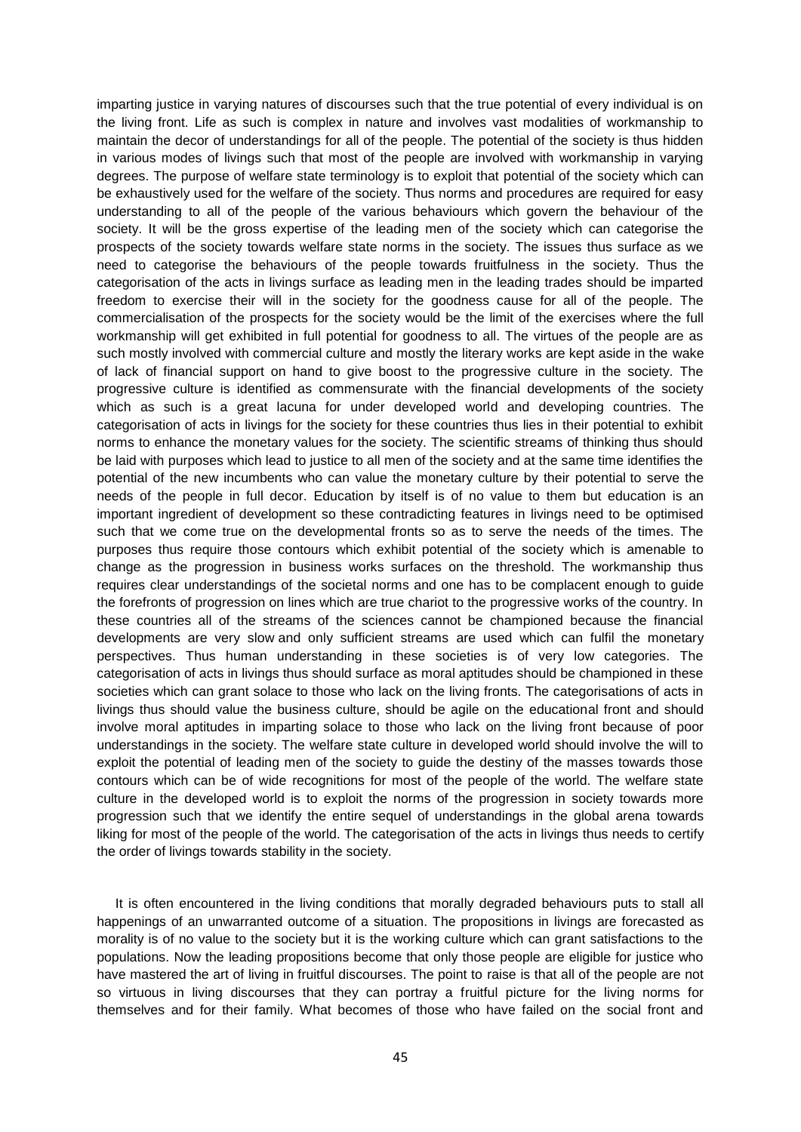imparting justice in varying natures of discourses such that the true potential of every individual is on the living front. Life as such is complex in nature and involves vast modalities of workmanship to maintain the decor of understandings for all of the people. The potential of the society is thus hidden in various modes of livings such that most of the people are involved with workmanship in varying degrees. The purpose of welfare state terminology is to exploit that potential of the society which can be exhaustively used for the welfare of the society. Thus norms and procedures are required for easy understanding to all of the people of the various behaviours which govern the behaviour of the society. It will be the gross expertise of the leading men of the society which can categorise the prospects of the society towards welfare state norms in the society. The issues thus surface as we need to categorise the behaviours of the people towards fruitfulness in the society. Thus the categorisation of the acts in livings surface as leading men in the leading trades should be imparted freedom to exercise their will in the society for the goodness cause for all of the people. The commercialisation of the prospects for the society would be the limit of the exercises where the full workmanship will get exhibited in full potential for goodness to all. The virtues of the people are as such mostly involved with commercial culture and mostly the literary works are kept aside in the wake of lack of financial support on hand to give boost to the progressive culture in the society. The progressive culture is identified as commensurate with the financial developments of the society which as such is a great lacuna for under developed world and developing countries. The categorisation of acts in livings for the society for these countries thus lies in their potential to exhibit norms to enhance the monetary values for the society. The scientific streams of thinking thus should be laid with purposes which lead to justice to all men of the society and at the same time identifies the potential of the new incumbents who can value the monetary culture by their potential to serve the needs of the people in full decor. Education by itself is of no value to them but education is an important ingredient of development so these contradicting features in livings need to be optimised such that we come true on the developmental fronts so as to serve the needs of the times. The purposes thus require those contours which exhibit potential of the society which is amenable to change as the progression in business works surfaces on the threshold. The workmanship thus requires clear understandings of the societal norms and one has to be complacent enough to guide the forefronts of progression on lines which are true chariot to the progressive works of the country. In these countries all of the streams of the sciences cannot be championed because the financial developments are very slow and only sufficient streams are used which can fulfil the monetary perspectives. Thus human understanding in these societies is of very low categories. The categorisation of acts in livings thus should surface as moral aptitudes should be championed in these societies which can grant solace to those who lack on the living fronts. The categorisations of acts in livings thus should value the business culture, should be agile on the educational front and should involve moral aptitudes in imparting solace to those who lack on the living front because of poor understandings in the society. The welfare state culture in developed world should involve the will to exploit the potential of leading men of the society to guide the destiny of the masses towards those contours which can be of wide recognitions for most of the people of the world. The welfare state culture in the developed world is to exploit the norms of the progression in society towards more progression such that we identify the entire sequel of understandings in the global arena towards liking for most of the people of the world. The categorisation of the acts in livings thus needs to certify the order of livings towards stability in the society.

It is often encountered in the living conditions that morally degraded behaviours puts to stall all happenings of an unwarranted outcome of a situation. The propositions in livings are forecasted as morality is of no value to the society but it is the working culture which can grant satisfactions to the populations. Now the leading propositions become that only those people are eligible for justice who have mastered the art of living in fruitful discourses. The point to raise is that all of the people are not so virtuous in living discourses that they can portray a fruitful picture for the living norms for themselves and for their family. What becomes of those who have failed on the social front and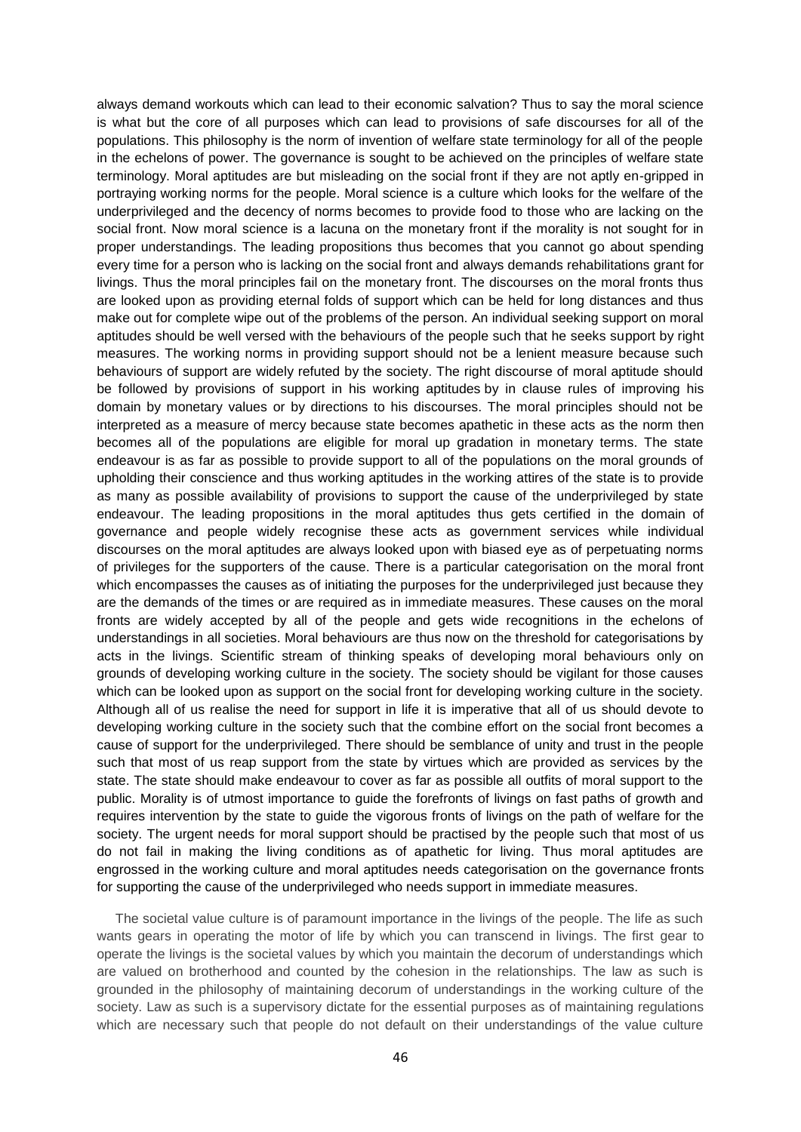always demand workouts which can lead to their economic salvation? Thus to say the moral science is what but the core of all purposes which can lead to provisions of safe discourses for all of the populations. This philosophy is the norm of invention of welfare state terminology for all of the people in the echelons of power. The governance is sought to be achieved on the principles of welfare state terminology. Moral aptitudes are but misleading on the social front if they are not aptly en-gripped in portraying working norms for the people. Moral science is a culture which looks for the welfare of the underprivileged and the decency of norms becomes to provide food to those who are lacking on the social front. Now moral science is a lacuna on the monetary front if the morality is not sought for in proper understandings. The leading propositions thus becomes that you cannot go about spending every time for a person who is lacking on the social front and always demands rehabilitations grant for livings. Thus the moral principles fail on the monetary front. The discourses on the moral fronts thus are looked upon as providing eternal folds of support which can be held for long distances and thus make out for complete wipe out of the problems of the person. An individual seeking support on moral aptitudes should be well versed with the behaviours of the people such that he seeks support by right measures. The working norms in providing support should not be a lenient measure because such behaviours of support are widely refuted by the society. The right discourse of moral aptitude should be followed by provisions of support in his working aptitudes by in clause rules of improving his domain by monetary values or by directions to his discourses. The moral principles should not be interpreted as a measure of mercy because state becomes apathetic in these acts as the norm then becomes all of the populations are eligible for moral up gradation in monetary terms. The state endeavour is as far as possible to provide support to all of the populations on the moral grounds of upholding their conscience and thus working aptitudes in the working attires of the state is to provide as many as possible availability of provisions to support the cause of the underprivileged by state endeavour. The leading propositions in the moral aptitudes thus gets certified in the domain of governance and people widely recognise these acts as government services while individual discourses on the moral aptitudes are always looked upon with biased eye as of perpetuating norms of privileges for the supporters of the cause. There is a particular categorisation on the moral front which encompasses the causes as of initiating the purposes for the underprivileged just because they are the demands of the times or are required as in immediate measures. These causes on the moral fronts are widely accepted by all of the people and gets wide recognitions in the echelons of understandings in all societies. Moral behaviours are thus now on the threshold for categorisations by acts in the livings. Scientific stream of thinking speaks of developing moral behaviours only on grounds of developing working culture in the society. The society should be vigilant for those causes which can be looked upon as support on the social front for developing working culture in the society. Although all of us realise the need for support in life it is imperative that all of us should devote to developing working culture in the society such that the combine effort on the social front becomes a cause of support for the underprivileged. There should be semblance of unity and trust in the people such that most of us reap support from the state by virtues which are provided as services by the state. The state should make endeavour to cover as far as possible all outfits of moral support to the public. Morality is of utmost importance to guide the forefronts of livings on fast paths of growth and requires intervention by the state to guide the vigorous fronts of livings on the path of welfare for the society. The urgent needs for moral support should be practised by the people such that most of us do not fail in making the living conditions as of apathetic for living. Thus moral aptitudes are engrossed in the working culture and moral aptitudes needs categorisation on the governance fronts for supporting the cause of the underprivileged who needs support in immediate measures.

 The societal value culture is of paramount importance in the livings of the people. The life as such wants gears in operating the motor of life by which you can transcend in livings. The first gear to operate the livings is the societal values by which you maintain the decorum of understandings which are valued on brotherhood and counted by the cohesion in the relationships. The law as such is grounded in the philosophy of maintaining decorum of understandings in the working culture of the society. Law as such is a supervisory dictate for the essential purposes as of maintaining regulations which are necessary such that people do not default on their understandings of the value culture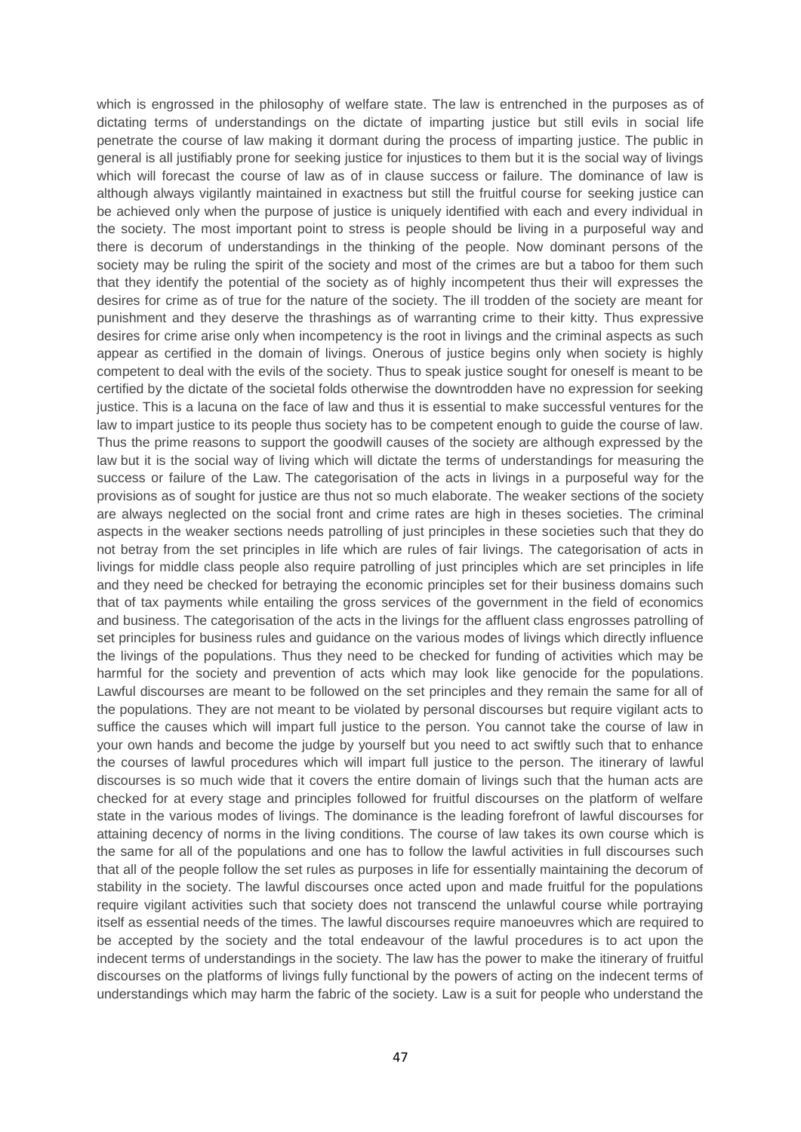which is engrossed in the philosophy of welfare state. The law is entrenched in the purposes as of dictating terms of understandings on the dictate of imparting justice but still evils in social life penetrate the course of law making it dormant during the process of imparting justice. The public in general is all justifiably prone for seeking justice for injustices to them but it is the social way of livings which will forecast the course of law as of in clause success or failure. The dominance of law is although always vigilantly maintained in exactness but still the fruitful course for seeking justice can be achieved only when the purpose of justice is uniquely identified with each and every individual in the society. The most important point to stress is people should be living in a purposeful way and there is decorum of understandings in the thinking of the people. Now dominant persons of the society may be ruling the spirit of the society and most of the crimes are but a taboo for them such that they identify the potential of the society as of highly incompetent thus their will expresses the desires for crime as of true for the nature of the society. The ill trodden of the society are meant for punishment and they deserve the thrashings as of warranting crime to their kitty. Thus expressive desires for crime arise only when incompetency is the root in livings and the criminal aspects as such appear as certified in the domain of livings. Onerous of justice begins only when society is highly competent to deal with the evils of the society. Thus to speak justice sought for oneself is meant to be certified by the dictate of the societal folds otherwise the downtrodden have no expression for seeking justice. This is a lacuna on the face of law and thus it is essential to make successful ventures for the law to impart justice to its people thus society has to be competent enough to guide the course of law. Thus the prime reasons to support the goodwill causes of the society are although expressed by the law but it is the social way of living which will dictate the terms of understandings for measuring the success or failure of the Law. The categorisation of the acts in livings in a purposeful way for the provisions as of sought for justice are thus not so much elaborate. The weaker sections of the society are always neglected on the social front and crime rates are high in theses societies. The criminal aspects in the weaker sections needs patrolling of just principles in these societies such that they do not betray from the set principles in life which are rules of fair livings. The categorisation of acts in livings for middle class people also require patrolling of just principles which are set principles in life and they need be checked for betraying the economic principles set for their business domains such that of tax payments while entailing the gross services of the government in the field of economics and business. The categorisation of the acts in the livings for the affluent class engrosses patrolling of set principles for business rules and guidance on the various modes of livings which directly influence the livings of the populations. Thus they need to be checked for funding of activities which may be harmful for the society and prevention of acts which may look like genocide for the populations. Lawful discourses are meant to be followed on the set principles and they remain the same for all of the populations. They are not meant to be violated by personal discourses but require vigilant acts to suffice the causes which will impart full justice to the person. You cannot take the course of law in your own hands and become the judge by yourself but you need to act swiftly such that to enhance the courses of lawful procedures which will impart full justice to the person. The itinerary of lawful discourses is so much wide that it covers the entire domain of livings such that the human acts are checked for at every stage and principles followed for fruitful discourses on the platform of welfare state in the various modes of livings. The dominance is the leading forefront of lawful discourses for attaining decency of norms in the living conditions. The course of law takes its own course which is the same for all of the populations and one has to follow the lawful activities in full discourses such that all of the people follow the set rules as purposes in life for essentially maintaining the decorum of stability in the society. The lawful discourses once acted upon and made fruitful for the populations require vigilant activities such that society does not transcend the unlawful course while portraying itself as essential needs of the times. The lawful discourses require manoeuvres which are required to be accepted by the society and the total endeavour of the lawful procedures is to act upon the indecent terms of understandings in the society. The law has the power to make the itinerary of fruitful discourses on the platforms of livings fully functional by the powers of acting on the indecent terms of understandings which may harm the fabric of the society. Law is a suit for people who understand the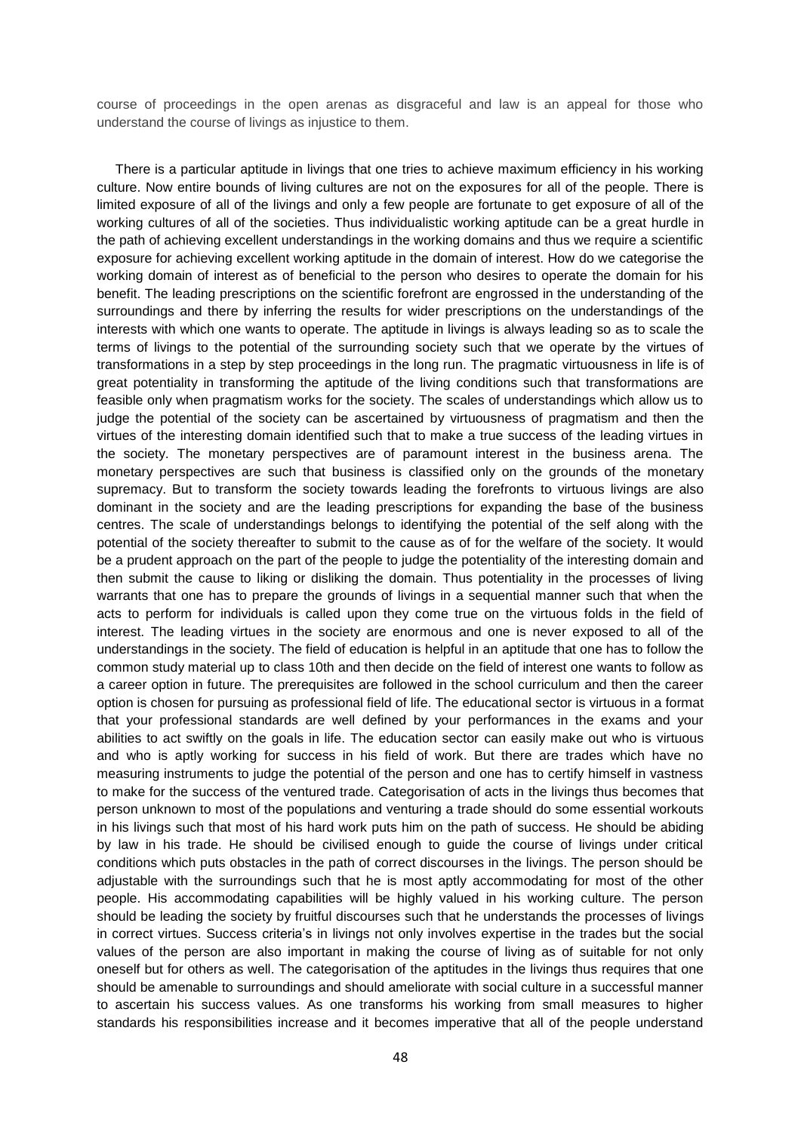course of proceedings in the open arenas as disgraceful and law is an appeal for those who understand the course of livings as injustice to them.

 There is a particular aptitude in livings that one tries to achieve maximum efficiency in his working culture. Now entire bounds of living cultures are not on the exposures for all of the people. There is limited exposure of all of the livings and only a few people are fortunate to get exposure of all of the working cultures of all of the societies. Thus individualistic working aptitude can be a great hurdle in the path of achieving excellent understandings in the working domains and thus we require a scientific exposure for achieving excellent working aptitude in the domain of interest. How do we categorise the working domain of interest as of beneficial to the person who desires to operate the domain for his benefit. The leading prescriptions on the scientific forefront are engrossed in the understanding of the surroundings and there by inferring the results for wider prescriptions on the understandings of the interests with which one wants to operate. The aptitude in livings is always leading so as to scale the terms of livings to the potential of the surrounding society such that we operate by the virtues of transformations in a step by step proceedings in the long run. The pragmatic virtuousness in life is of great potentiality in transforming the aptitude of the living conditions such that transformations are feasible only when pragmatism works for the society. The scales of understandings which allow us to judge the potential of the society can be ascertained by virtuousness of pragmatism and then the virtues of the interesting domain identified such that to make a true success of the leading virtues in the society. The monetary perspectives are of paramount interest in the business arena. The monetary perspectives are such that business is classified only on the grounds of the monetary supremacy. But to transform the society towards leading the forefronts to virtuous livings are also dominant in the society and are the leading prescriptions for expanding the base of the business centres. The scale of understandings belongs to identifying the potential of the self along with the potential of the society thereafter to submit to the cause as of for the welfare of the society. It would be a prudent approach on the part of the people to judge the potentiality of the interesting domain and then submit the cause to liking or disliking the domain. Thus potentiality in the processes of living warrants that one has to prepare the grounds of livings in a sequential manner such that when the acts to perform for individuals is called upon they come true on the virtuous folds in the field of interest. The leading virtues in the society are enormous and one is never exposed to all of the understandings in the society. The field of education is helpful in an aptitude that one has to follow the common study material up to class 10th and then decide on the field of interest one wants to follow as a career option in future. The prerequisites are followed in the school curriculum and then the career option is chosen for pursuing as professional field of life. The educational sector is virtuous in a format that your professional standards are well defined by your performances in the exams and your abilities to act swiftly on the goals in life. The education sector can easily make out who is virtuous and who is aptly working for success in his field of work. But there are trades which have no measuring instruments to judge the potential of the person and one has to certify himself in vastness to make for the success of the ventured trade. Categorisation of acts in the livings thus becomes that person unknown to most of the populations and venturing a trade should do some essential workouts in his livings such that most of his hard work puts him on the path of success. He should be abiding by law in his trade. He should be civilised enough to guide the course of livings under critical conditions which puts obstacles in the path of correct discourses in the livings. The person should be adjustable with the surroundings such that he is most aptly accommodating for most of the other people. His accommodating capabilities will be highly valued in his working culture. The person should be leading the society by fruitful discourses such that he understands the processes of livings in correct virtues. Success criteria's in livings not only involves expertise in the trades but the social values of the person are also important in making the course of living as of suitable for not only oneself but for others as well. The categorisation of the aptitudes in the livings thus requires that one should be amenable to surroundings and should ameliorate with social culture in a successful manner to ascertain his success values. As one transforms his working from small measures to higher standards his responsibilities increase and it becomes imperative that all of the people understand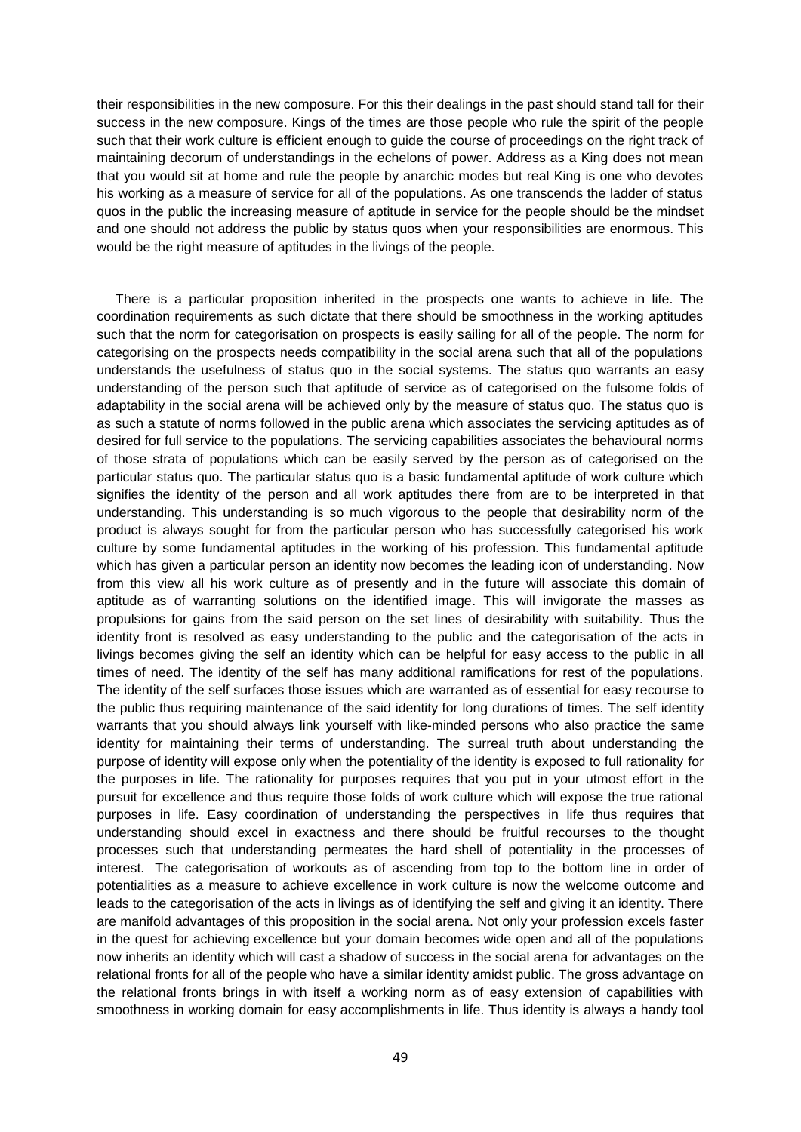their responsibilities in the new composure. For this their dealings in the past should stand tall for their success in the new composure. Kings of the times are those people who rule the spirit of the people such that their work culture is efficient enough to guide the course of proceedings on the right track of maintaining decorum of understandings in the echelons of power. Address as a King does not mean that you would sit at home and rule the people by anarchic modes but real King is one who devotes his working as a measure of service for all of the populations. As one transcends the ladder of status quos in the public the increasing measure of aptitude in service for the people should be the mindset and one should not address the public by status quos when your responsibilities are enormous. This would be the right measure of aptitudes in the livings of the people.

 There is a particular proposition inherited in the prospects one wants to achieve in life. The coordination requirements as such dictate that there should be smoothness in the working aptitudes such that the norm for categorisation on prospects is easily sailing for all of the people. The norm for categorising on the prospects needs compatibility in the social arena such that all of the populations understands the usefulness of status quo in the social systems. The status quo warrants an easy understanding of the person such that aptitude of service as of categorised on the fulsome folds of adaptability in the social arena will be achieved only by the measure of status quo. The status quo is as such a statute of norms followed in the public arena which associates the servicing aptitudes as of desired for full service to the populations. The servicing capabilities associates the behavioural norms of those strata of populations which can be easily served by the person as of categorised on the particular status quo. The particular status quo is a basic fundamental aptitude of work culture which signifies the identity of the person and all work aptitudes there from are to be interpreted in that understanding. This understanding is so much vigorous to the people that desirability norm of the product is always sought for from the particular person who has successfully categorised his work culture by some fundamental aptitudes in the working of his profession. This fundamental aptitude which has given a particular person an identity now becomes the leading icon of understanding. Now from this view all his work culture as of presently and in the future will associate this domain of aptitude as of warranting solutions on the identified image. This will invigorate the masses as propulsions for gains from the said person on the set lines of desirability with suitability. Thus the identity front is resolved as easy understanding to the public and the categorisation of the acts in livings becomes giving the self an identity which can be helpful for easy access to the public in all times of need. The identity of the self has many additional ramifications for rest of the populations. The identity of the self surfaces those issues which are warranted as of essential for easy recourse to the public thus requiring maintenance of the said identity for long durations of times. The self identity warrants that you should always link yourself with like-minded persons who also practice the same identity for maintaining their terms of understanding. The surreal truth about understanding the purpose of identity will expose only when the potentiality of the identity is exposed to full rationality for the purposes in life. The rationality for purposes requires that you put in your utmost effort in the pursuit for excellence and thus require those folds of work culture which will expose the true rational purposes in life. Easy coordination of understanding the perspectives in life thus requires that understanding should excel in exactness and there should be fruitful recourses to the thought processes such that understanding permeates the hard shell of potentiality in the processes of interest. The categorisation of workouts as of ascending from top to the bottom line in order of potentialities as a measure to achieve excellence in work culture is now the welcome outcome and leads to the categorisation of the acts in livings as of identifying the self and giving it an identity. There are manifold advantages of this proposition in the social arena. Not only your profession excels faster in the quest for achieving excellence but your domain becomes wide open and all of the populations now inherits an identity which will cast a shadow of success in the social arena for advantages on the relational fronts for all of the people who have a similar identity amidst public. The gross advantage on the relational fronts brings in with itself a working norm as of easy extension of capabilities with smoothness in working domain for easy accomplishments in life. Thus identity is always a handy tool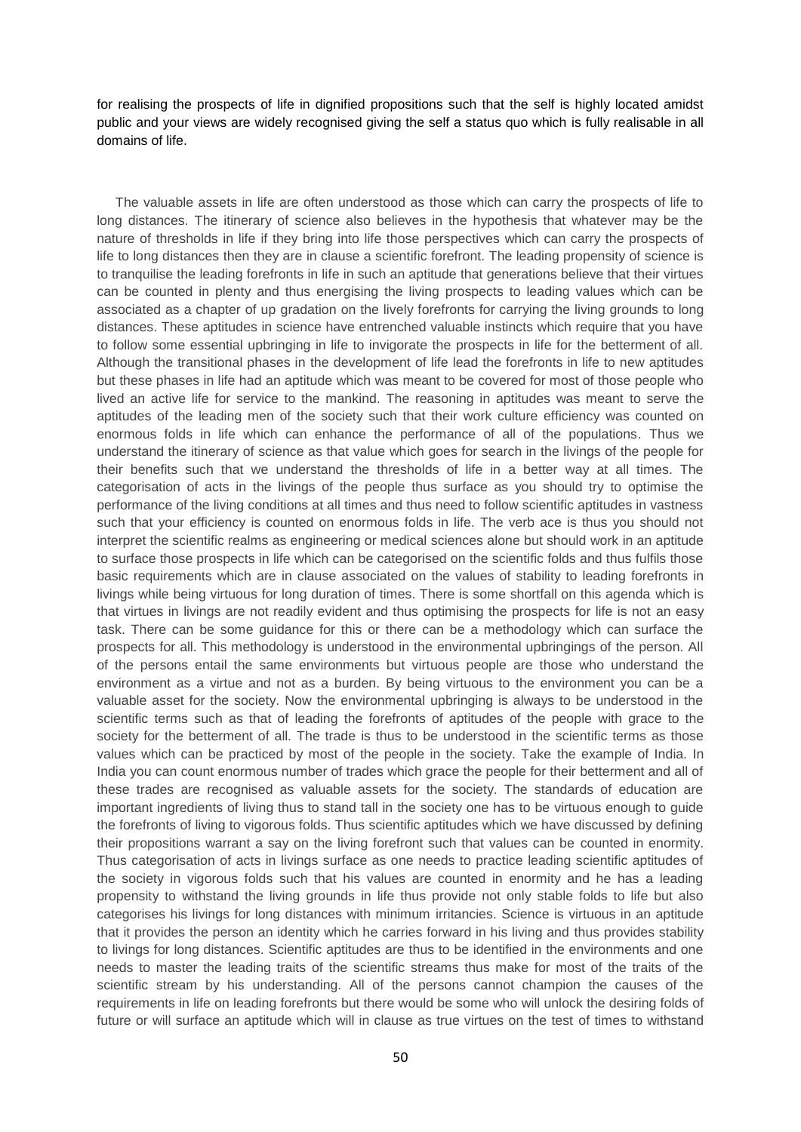for realising the prospects of life in dignified propositions such that the self is highly located amidst public and your views are widely recognised giving the self a status quo which is fully realisable in all domains of life.

 The valuable assets in life are often understood as those which can carry the prospects of life to long distances. The itinerary of science also believes in the hypothesis that whatever may be the nature of thresholds in life if they bring into life those perspectives which can carry the prospects of life to long distances then they are in clause a scientific forefront. The leading propensity of science is to tranquilise the leading forefronts in life in such an aptitude that generations believe that their virtues can be counted in plenty and thus energising the living prospects to leading values which can be associated as a chapter of up gradation on the lively forefronts for carrying the living grounds to long distances. These aptitudes in science have entrenched valuable instincts which require that you have to follow some essential upbringing in life to invigorate the prospects in life for the betterment of all. Although the transitional phases in the development of life lead the forefronts in life to new aptitudes but these phases in life had an aptitude which was meant to be covered for most of those people who lived an active life for service to the mankind. The reasoning in aptitudes was meant to serve the aptitudes of the leading men of the society such that their work culture efficiency was counted on enormous folds in life which can enhance the performance of all of the populations. Thus we understand the itinerary of science as that value which goes for search in the livings of the people for their benefits such that we understand the thresholds of life in a better way at all times. The categorisation of acts in the livings of the people thus surface as you should try to optimise the performance of the living conditions at all times and thus need to follow scientific aptitudes in vastness such that your efficiency is counted on enormous folds in life. The verb ace is thus you should not interpret the scientific realms as engineering or medical sciences alone but should work in an aptitude to surface those prospects in life which can be categorised on the scientific folds and thus fulfils those basic requirements which are in clause associated on the values of stability to leading forefronts in livings while being virtuous for long duration of times. There is some shortfall on this agenda which is that virtues in livings are not readily evident and thus optimising the prospects for life is not an easy task. There can be some guidance for this or there can be a methodology which can surface the prospects for all. This methodology is understood in the environmental upbringings of the person. All of the persons entail the same environments but virtuous people are those who understand the environment as a virtue and not as a burden. By being virtuous to the environment you can be a valuable asset for the society. Now the environmental upbringing is always to be understood in the scientific terms such as that of leading the forefronts of aptitudes of the people with grace to the society for the betterment of all. The trade is thus to be understood in the scientific terms as those values which can be practiced by most of the people in the society. Take the example of India. In India you can count enormous number of trades which grace the people for their betterment and all of these trades are recognised as valuable assets for the society. The standards of education are important ingredients of living thus to stand tall in the society one has to be virtuous enough to guide the forefronts of living to vigorous folds. Thus scientific aptitudes which we have discussed by defining their propositions warrant a say on the living forefront such that values can be counted in enormity. Thus categorisation of acts in livings surface as one needs to practice leading scientific aptitudes of the society in vigorous folds such that his values are counted in enormity and he has a leading propensity to withstand the living grounds in life thus provide not only stable folds to life but also categorises his livings for long distances with minimum irritancies. Science is virtuous in an aptitude that it provides the person an identity which he carries forward in his living and thus provides stability to livings for long distances. Scientific aptitudes are thus to be identified in the environments and one needs to master the leading traits of the scientific streams thus make for most of the traits of the scientific stream by his understanding. All of the persons cannot champion the causes of the requirements in life on leading forefronts but there would be some who will unlock the desiring folds of future or will surface an aptitude which will in clause as true virtues on the test of times to withstand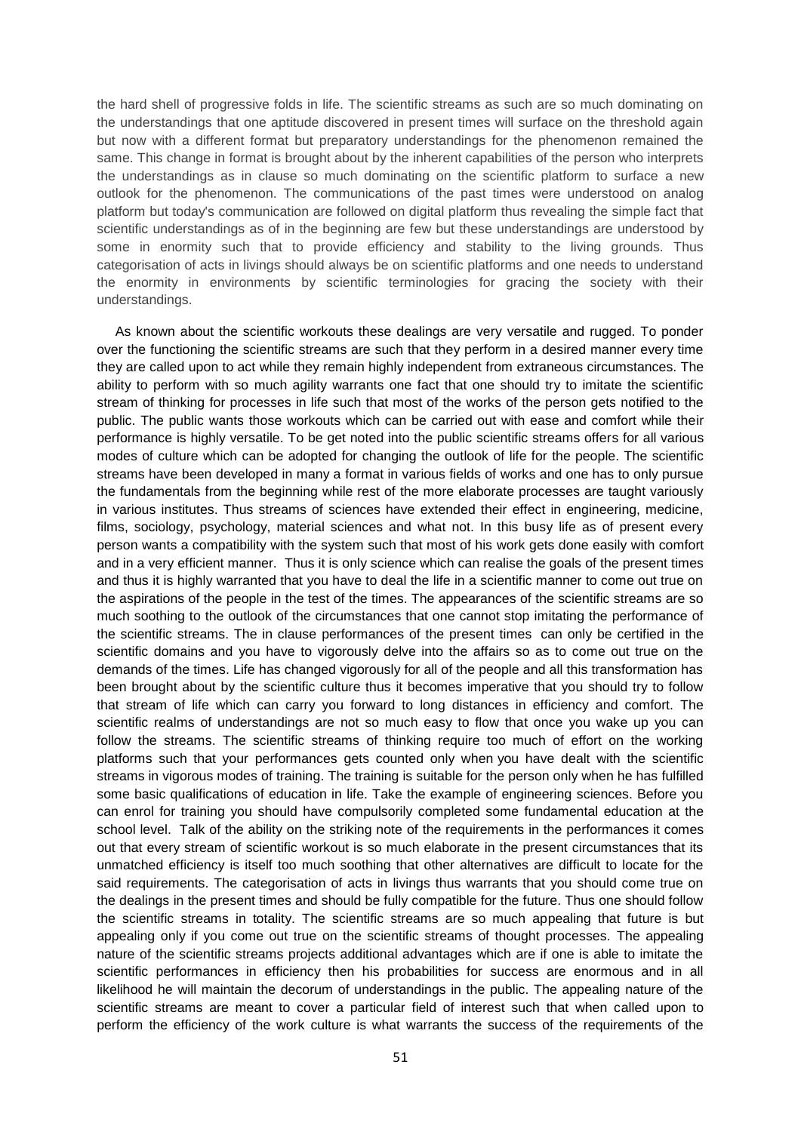the hard shell of progressive folds in life. The scientific streams as such are so much dominating on the understandings that one aptitude discovered in present times will surface on the threshold again but now with a different format but preparatory understandings for the phenomenon remained the same. This change in format is brought about by the inherent capabilities of the person who interprets the understandings as in clause so much dominating on the scientific platform to surface a new outlook for the phenomenon. The communications of the past times were understood on analog platform but today's communication are followed on digital platform thus revealing the simple fact that scientific understandings as of in the beginning are few but these understandings are understood by some in enormity such that to provide efficiency and stability to the living grounds. Thus categorisation of acts in livings should always be on scientific platforms and one needs to understand the enormity in environments by scientific terminologies for gracing the society with their understandings.

 As known about the scientific workouts these dealings are very versatile and rugged. To ponder over the functioning the scientific streams are such that they perform in a desired manner every time they are called upon to act while they remain highly independent from extraneous circumstances. The ability to perform with so much agility warrants one fact that one should try to imitate the scientific stream of thinking for processes in life such that most of the works of the person gets notified to the public. The public wants those workouts which can be carried out with ease and comfort while their performance is highly versatile. To be get noted into the public scientific streams offers for all various modes of culture which can be adopted for changing the outlook of life for the people. The scientific streams have been developed in many a format in various fields of works and one has to only pursue the fundamentals from the beginning while rest of the more elaborate processes are taught variously in various institutes. Thus streams of sciences have extended their effect in engineering, medicine, films, sociology, psychology, material sciences and what not. In this busy life as of present every person wants a compatibility with the system such that most of his work gets done easily with comfort and in a very efficient manner. Thus it is only science which can realise the goals of the present times and thus it is highly warranted that you have to deal the life in a scientific manner to come out true on the aspirations of the people in the test of the times. The appearances of the scientific streams are so much soothing to the outlook of the circumstances that one cannot stop imitating the performance of the scientific streams. The in clause performances of the present times can only be certified in the scientific domains and you have to vigorously delve into the affairs so as to come out true on the demands of the times. Life has changed vigorously for all of the people and all this transformation has been brought about by the scientific culture thus it becomes imperative that you should try to follow that stream of life which can carry you forward to long distances in efficiency and comfort. The scientific realms of understandings are not so much easy to flow that once you wake up you can follow the streams. The scientific streams of thinking require too much of effort on the working platforms such that your performances gets counted only when you have dealt with the scientific streams in vigorous modes of training. The training is suitable for the person only when he has fulfilled some basic qualifications of education in life. Take the example of engineering sciences. Before you can enrol for training you should have compulsorily completed some fundamental education at the school level. Talk of the ability on the striking note of the requirements in the performances it comes out that every stream of scientific workout is so much elaborate in the present circumstances that its unmatched efficiency is itself too much soothing that other alternatives are difficult to locate for the said requirements. The categorisation of acts in livings thus warrants that you should come true on the dealings in the present times and should be fully compatible for the future. Thus one should follow the scientific streams in totality. The scientific streams are so much appealing that future is but appealing only if you come out true on the scientific streams of thought processes. The appealing nature of the scientific streams projects additional advantages which are if one is able to imitate the scientific performances in efficiency then his probabilities for success are enormous and in all likelihood he will maintain the decorum of understandings in the public. The appealing nature of the scientific streams are meant to cover a particular field of interest such that when called upon to perform the efficiency of the work culture is what warrants the success of the requirements of the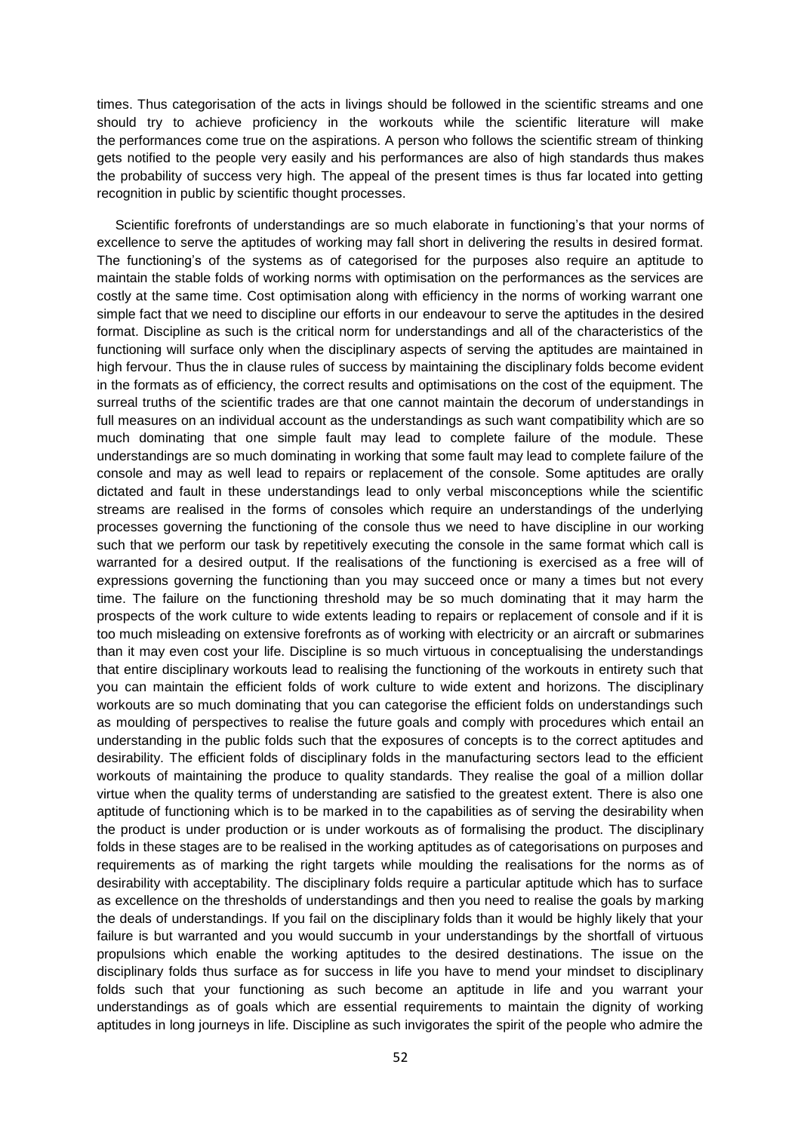times. Thus categorisation of the acts in livings should be followed in the scientific streams and one should try to achieve proficiency in the workouts while the scientific literature will make the performances come true on the aspirations. A person who follows the scientific stream of thinking gets notified to the people very easily and his performances are also of high standards thus makes the probability of success very high. The appeal of the present times is thus far located into getting recognition in public by scientific thought processes.

 Scientific forefronts of understandings are so much elaborate in functioning's that your norms of excellence to serve the aptitudes of working may fall short in delivering the results in desired format. The functioning's of the systems as of categorised for the purposes also require an aptitude to maintain the stable folds of working norms with optimisation on the performances as the services are costly at the same time. Cost optimisation along with efficiency in the norms of working warrant one simple fact that we need to discipline our efforts in our endeavour to serve the aptitudes in the desired format. Discipline as such is the critical norm for understandings and all of the characteristics of the functioning will surface only when the disciplinary aspects of serving the aptitudes are maintained in high fervour. Thus the in clause rules of success by maintaining the disciplinary folds become evident in the formats as of efficiency, the correct results and optimisations on the cost of the equipment. The surreal truths of the scientific trades are that one cannot maintain the decorum of understandings in full measures on an individual account as the understandings as such want compatibility which are so much dominating that one simple fault may lead to complete failure of the module. These understandings are so much dominating in working that some fault may lead to complete failure of the console and may as well lead to repairs or replacement of the console. Some aptitudes are orally dictated and fault in these understandings lead to only verbal misconceptions while the scientific streams are realised in the forms of consoles which require an understandings of the underlying processes governing the functioning of the console thus we need to have discipline in our working such that we perform our task by repetitively executing the console in the same format which call is warranted for a desired output. If the realisations of the functioning is exercised as a free will of expressions governing the functioning than you may succeed once or many a times but not every time. The failure on the functioning threshold may be so much dominating that it may harm the prospects of the work culture to wide extents leading to repairs or replacement of console and if it is too much misleading on extensive forefronts as of working with electricity or an aircraft or submarines than it may even cost your life. Discipline is so much virtuous in conceptualising the understandings that entire disciplinary workouts lead to realising the functioning of the workouts in entirety such that you can maintain the efficient folds of work culture to wide extent and horizons. The disciplinary workouts are so much dominating that you can categorise the efficient folds on understandings such as moulding of perspectives to realise the future goals and comply with procedures which entail an understanding in the public folds such that the exposures of concepts is to the correct aptitudes and desirability. The efficient folds of disciplinary folds in the manufacturing sectors lead to the efficient workouts of maintaining the produce to quality standards. They realise the goal of a million dollar virtue when the quality terms of understanding are satisfied to the greatest extent. There is also one aptitude of functioning which is to be marked in to the capabilities as of serving the desirability when the product is under production or is under workouts as of formalising the product. The disciplinary folds in these stages are to be realised in the working aptitudes as of categorisations on purposes and requirements as of marking the right targets while moulding the realisations for the norms as of desirability with acceptability. The disciplinary folds require a particular aptitude which has to surface as excellence on the thresholds of understandings and then you need to realise the goals by marking the deals of understandings. If you fail on the disciplinary folds than it would be highly likely that your failure is but warranted and you would succumb in your understandings by the shortfall of virtuous propulsions which enable the working aptitudes to the desired destinations. The issue on the disciplinary folds thus surface as for success in life you have to mend your mindset to disciplinary folds such that your functioning as such become an aptitude in life and you warrant your understandings as of goals which are essential requirements to maintain the dignity of working aptitudes in long journeys in life. Discipline as such invigorates the spirit of the people who admire the